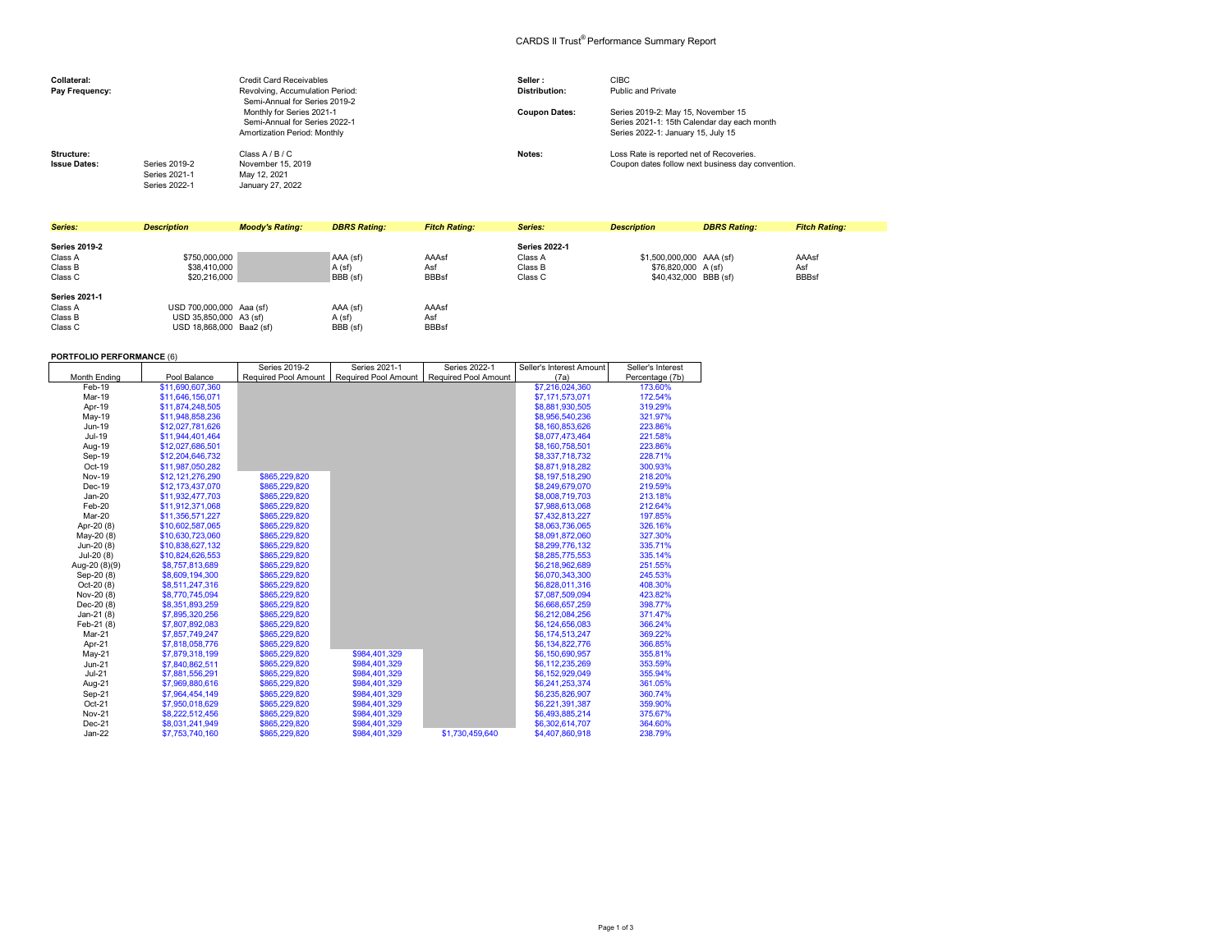## CARDS II Trust® Performance Summary Report

| Collateral:<br>Pay Frequency:     |                                                 | Credit Card Receivables<br>Revolving, Accumulation Period:<br>Semi-Annual for Series 2019-2 | Seller:<br>Distribution: | <b>CIBC</b><br>Public and Private                                                                                       |
|-----------------------------------|-------------------------------------------------|---------------------------------------------------------------------------------------------|--------------------------|-------------------------------------------------------------------------------------------------------------------------|
|                                   |                                                 | Monthly for Series 2021-1<br>Semi-Annual for Series 2022-1<br>Amortization Period: Monthly  | <b>Coupon Dates:</b>     | Series 2019-2: May 15, November 15<br>Series 2021-1: 15th Calendar day each month<br>Series 2022-1: January 15, July 15 |
| Structure:<br><b>Issue Dates:</b> | Series 2019-2<br>Series 2021-1<br>Series 2022-1 | Class A / B / C<br>November 15, 2019<br>May 12, 2021<br>January 27, 2022                    | Notes:                   | Loss Rate is reported net of Recoveries.<br>Coupon dates follow next business day convention.                           |

| Series:                                               | <b>Description</b>                                                             | <b>Moody's Rating:</b> | <b>DBRS Rating:</b>            | <b>Fitch Rating:</b>         | Series:                                               | <b>Description</b>                                                       | <b>DBRS Rating:</b> | <b>Fitch Rating:</b>         |
|-------------------------------------------------------|--------------------------------------------------------------------------------|------------------------|--------------------------------|------------------------------|-------------------------------------------------------|--------------------------------------------------------------------------|---------------------|------------------------------|
| <b>Series 2019-2</b><br>Class A<br>Class B<br>Class C | \$750,000,000<br>\$38,410,000<br>\$20,216,000                                  |                        | AAA (sf)<br>A (sf)<br>BBB (sf) | AAAsf<br>Asf<br><b>BBBsf</b> | <b>Series 2022-1</b><br>Class A<br>Class B<br>Class C | \$1,500,000,000 AAA (sf)<br>\$76,820,000 A (sf)<br>\$40,432,000 BBB (sf) |                     | AAAsf<br>Asf<br><b>BBBsf</b> |
| <b>Series 2021-1</b><br>Class A<br>Class B<br>Class C | USD 700,000,000 Aaa (sf)<br>USD 35,850,000 A3 (sf)<br>USD 18,868,000 Baa2 (sf) |                        | AAA (sf)<br>A(sf)<br>BBB (sf)  | AAAsf<br>Asf<br><b>BBBsf</b> |                                                       |                                                                          |                     |                              |

## **PORTFOLIO PERFORMANCE** (6)

|                     |                  | Series 2019-2 | Series 2021-1                               | Series 2022-1               | Seller's Interest Amount | Seller's Interest |
|---------------------|------------------|---------------|---------------------------------------------|-----------------------------|--------------------------|-------------------|
| <b>Month Ending</b> | Pool Balance     |               | Required Pool Amount   Required Pool Amount | <b>Required Pool Amount</b> | (7a)                     | Percentage (7b)   |
| Feb-19              | \$11,690,607,360 |               |                                             |                             | \$7,216,024,360          | 173.60%           |
| Mar-19              | \$11,646,156,071 |               |                                             |                             | \$7,171,573,071          | 172.54%           |
| Apr-19              | \$11.874.248.505 |               |                                             |                             | \$8,881,930,505          | 319.29%           |
| May-19              | \$11.948.858.236 |               |                                             |                             | \$8,956,540,236          | 321.97%           |
| Jun-19              | \$12,027,781,626 |               |                                             |                             | \$8,160,853,626          | 223.86%           |
| Jul-19              | \$11,944,401,464 |               |                                             |                             | \$8,077,473,464          | 221.58%           |
| Aug-19              | \$12,027,686,501 |               |                                             |                             | \$8,160,758,501          | 223.86%           |
| Sep-19              | \$12,204,646,732 |               |                                             |                             | \$8,337,718,732          | 228.71%           |
| Oct-19              | \$11,987,050,282 |               |                                             |                             | \$8,871,918,282          | 300.93%           |
| <b>Nov-19</b>       | \$12,121,276,290 | \$865,229,820 |                                             |                             | \$8,197,518,290          | 218.20%           |
| Dec-19              | \$12,173,437,070 | \$865,229,820 |                                             |                             | \$8,249,679,070          | 219.59%           |
| $Jan-20$            | \$11,932,477,703 | \$865,229,820 |                                             |                             | \$8,008,719,703          | 213.18%           |
| Feb-20              | \$11,912,371,068 | \$865,229,820 |                                             |                             | \$7,988,613,068          | 212.64%           |
| Mar-20              | \$11,356,571,227 | \$865,229,820 |                                             |                             | \$7,432,813,227          | 197.85%           |
| Apr-20 (8)          | \$10,602,587,065 | \$865,229,820 |                                             |                             | \$8,063,736,065          | 326.16%           |
| May-20 (8)          | \$10,630,723,060 | \$865,229,820 |                                             |                             | \$8,091,872,060          | 327.30%           |
| Jun-20 (8)          | \$10,838,627,132 | \$865,229,820 |                                             |                             | \$8,299,776,132          | 335.71%           |
| $Jul-20(8)$         | \$10,824,626,553 | \$865,229,820 |                                             |                             | \$8,285,775,553          | 335.14%           |
| Aug-20 (8)(9)       | \$8,757,813,689  | \$865,229,820 |                                             |                             | \$6,218,962,689          | 251.55%           |
| Sep-20 (8)          | \$8,609,194,300  | \$865,229,820 |                                             |                             | \$6,070,343,300          | 245.53%           |
| Oct-20 (8)          | \$8,511,247,316  | \$865,229,820 |                                             |                             | \$6,828,011,316          | 408.30%           |
| Nov-20 (8)          | \$8,770,745,094  | \$865,229,820 |                                             |                             | \$7,087,509,094          | 423.82%           |
| Dec-20 (8)          | \$8,351,893,259  | \$865,229,820 |                                             |                             | \$6,668,657,259          | 398.77%           |
| $Jan-21(8)$         | \$7,895,320,256  | \$865,229,820 |                                             |                             | \$6,212,084,256          | 371.47%           |
| Feb-21 (8)          | \$7,807,892,083  | \$865,229,820 |                                             |                             | \$6,124,656,083          | 366.24%           |
| Mar-21              | \$7,857,749,247  | \$865,229,820 |                                             |                             | \$6,174,513,247          | 369.22%           |
| Apr-21              | \$7,818,058,776  | \$865,229,820 |                                             |                             | \$6,134,822,776          | 366.85%           |
| $May-21$            | \$7,879,318,199  | \$865,229,820 | \$984,401,329                               |                             | \$6,150,690,957          | 355.81%           |
| $Jun-21$            | \$7,840,862,511  | \$865,229,820 | \$984.401.329                               |                             | \$6,112,235,269          | 353.59%           |
| $Jul-21$            | \$7,881,556,291  | \$865.229.820 | \$984.401.329                               |                             | \$6,152,929,049          | 355.94%           |
| Aug-21              | \$7,969,880,616  | \$865,229,820 | \$984,401,329                               |                             | \$6,241,253,374          | 361.05%           |
| Sep-21              | \$7,964,454,149  | \$865,229,820 | \$984,401,329                               |                             | \$6,235,826,907          | 360.74%           |
| Oct-21              | \$7,950,018,629  | \$865,229,820 | \$984.401.329                               |                             | \$6,221,391,387          | 359.90%           |
| <b>Nov-21</b>       | \$8,222,512,456  | \$865,229,820 | \$984.401.329                               |                             | \$6,493,885,214          | 375.67%           |
| Dec-21              | \$8,031,241,949  | \$865,229,820 | \$984,401,329                               |                             | \$6,302,614,707          | 364.60%           |
| $Jan-22$            | \$7.753.740.160  | \$865,229,820 | \$984,401,329                               | \$1,730,459,640             | \$4,407,860,918          | 238.79%           |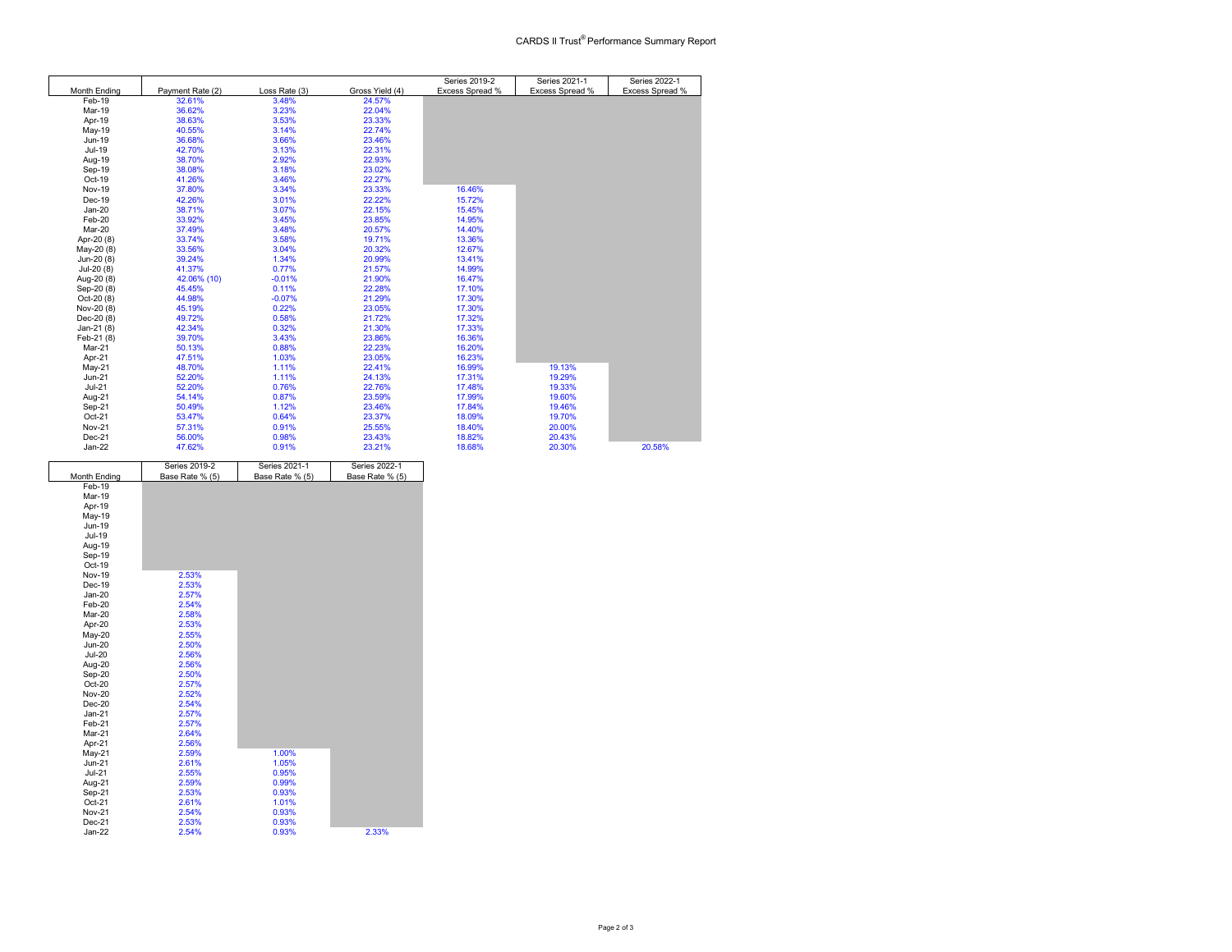|               |                  |               |                 | Series 2019-2   | Series 2021-1   | Series 2022-1   |
|---------------|------------------|---------------|-----------------|-----------------|-----------------|-----------------|
| Month Ending  | Payment Rate (2) | Loss Rate (3) | Gross Yield (4) | Excess Spread % | Excess Spread % | Excess Spread % |
| Feb-19        | 32.61%           | 3.48%         | 24.57%          |                 |                 |                 |
| Mar-19        | 36.62%           | 3.23%         | 22.04%          |                 |                 |                 |
| Apr-19        | 38.63%           | 3.53%         | 23.33%          |                 |                 |                 |
| May-19        | 40.55%           | 3.14%         | 22.74%          |                 |                 |                 |
| Jun-19        | 36.68%           | 3.66%         | 23.46%          |                 |                 |                 |
| Jul-19        | 42.70%           | 3.13%         | 22.31%          |                 |                 |                 |
| Aug-19        | 38.70%           | 2.92%         | 22.93%          |                 |                 |                 |
| Sep-19        | 38.08%           | 3.18%         | 23.02%          |                 |                 |                 |
| Oct-19        | 41.26%           | 3.46%         | 22.27%          |                 |                 |                 |
| <b>Nov-19</b> | 37.80%           | 3.34%         | 23.33%          | 16.46%          |                 |                 |
| Dec-19        | 42.26%           | 3.01%         | 22.22%          | 15.72%          |                 |                 |
| $Jan-20$      | 38.71%           | 3.07%         | 22.15%          | 15.45%          |                 |                 |
| Feb-20        | 33.92%           | 3.45%         | 23.85%          | 14.95%          |                 |                 |
| Mar-20        | 37.49%           | 3.48%         | 20.57%          | 14.40%          |                 |                 |
| Apr-20 (8)    | 33.74%           | 3.58%         | 19.71%          | 13.36%          |                 |                 |
| May-20 (8)    | 33.56%           | 3.04%         | 20.32%          | 12.67%          |                 |                 |
| Jun-20 (8)    | 39.24%           | 1.34%         | 20.99%          | 13.41%          |                 |                 |
| $Jul-20(8)$   | 41.37%           | 0.77%         | 21.57%          | 14.99%          |                 |                 |
| Aug-20 (8)    | 42.06% (10)      | $-0.01%$      | 21.90%          | 16.47%          |                 |                 |
| Sep-20 (8)    | 45.45%           | 0.11%         | 22.28%          | 17.10%          |                 |                 |
| Oct-20 (8)    | 44.98%           | $-0.07%$      | 21.29%          | 17.30%          |                 |                 |
| Nov-20 (8)    | 45.19%           | 0.22%         | 23.05%          | 17.30%          |                 |                 |
| Dec-20 (8)    | 49.72%           | 0.58%         | 21.72%          | 17.32%          |                 |                 |
| Jan-21 (8)    | 42.34%           | 0.32%         | 21.30%          | 17.33%          |                 |                 |
| Feb-21 (8)    | 39.70%           | 3.43%         | 23.86%          | 16.36%          |                 |                 |
| Mar-21        | 50.13%           | 0.88%         | 22.23%          | 16.20%          |                 |                 |
| Apr-21        | 47.51%           | 1.03%         | 23.05%          | 16.23%          |                 |                 |
| May-21        | 48.70%           | 1.11%         | 22.41%          | 16.99%          | 19.13%          |                 |
| $Jun-21$      | 52.20%           | 1.11%         | 24.13%          | 17.31%          | 19.29%          |                 |
| $Jul-21$      | 52.20%           | 0.76%         | 22.76%          | 17.48%          | 19.33%          |                 |
| Aug-21        | 54.14%           | 0.87%         | 23.59%          | 17.99%          | 19.60%          |                 |
| Sep-21        | 50.49%           | 1.12%         | 23.46%          | 17.84%          | 19.46%          |                 |
| Oct-21        | 53.47%           | 0.64%         | 23.37%          | 18.09%          | 19.70%          |                 |
| <b>Nov-21</b> | 57.31%           | 0.91%         | 25.55%          | 18.40%          | 20.00%          |                 |
| Dec-21        | 56.00%           | 0.98%         | 23.43%          | 18.82%          | 20.43%          |                 |
| $Jan-22$      | 47.62%           | 0.91%         | 23.21%          | 18.68%          | 20.30%          | 20.58%          |

|                     | Series 2019-2   | Series 2021-1   | Series 2022-1   |
|---------------------|-----------------|-----------------|-----------------|
| <b>Month Ending</b> | Base Rate % (5) | Base Rate % (5) | Base Rate % (5) |
| Feb-19              |                 |                 |                 |
| Mar-19              |                 |                 |                 |
| Apr-19              |                 |                 |                 |
| May-19              |                 |                 |                 |
| Jun-19              |                 |                 |                 |
| Jul-19              |                 |                 |                 |
| Aug-19              |                 |                 |                 |
| Sep-19              |                 |                 |                 |
| Oct-19              |                 |                 |                 |
| <b>Nov-19</b>       | 2.53%           |                 |                 |
| Dec-19              | 2.53%           |                 |                 |
| $Jan-20$            | 2.57%           |                 |                 |
| Feb-20              | 2.54%           |                 |                 |
| Mar-20              | 2.58%           |                 |                 |
| Apr-20              | 2.53%           |                 |                 |
| May-20              | 2.55%           |                 |                 |
| <b>Jun-20</b>       | 2.50%           |                 |                 |
| $Jul-20$            | 2.56%           |                 |                 |
| Aug-20              | 2.56%           |                 |                 |
| Sep-20              | 2.50%           |                 |                 |
| Oct-20              | 2.57%           |                 |                 |
| Nov-20              | 2.52%           |                 |                 |
| $Dec-20$            | 2.54%           |                 |                 |
| $Jan-21$            | 2.57%           |                 |                 |
| Feb-21              | 2.57%           |                 |                 |
| Mar-21              | 2.64%           |                 |                 |
| Apr-21              | 2.56%           |                 |                 |
| May-21              | 2.59%           | 1.00%           |                 |
| $Jun-21$            | 2.61%           | 1.05%           |                 |
| $Jul-21$            | 2.55%           | 0.95%           |                 |
| Aug-21              | 2.59%           | 0.99%           |                 |
| Sep-21              | 2.53%           | 0.93%           |                 |
| Oct-21              | 2.61%           | 1.01%           |                 |
| <b>Nov-21</b>       | 2.54%           | 0.93%           |                 |
| Dec-21              | 2.53%           | 0.93%           |                 |
| Jan-22              | 2.54%           | 0.93%           | 2.33%           |